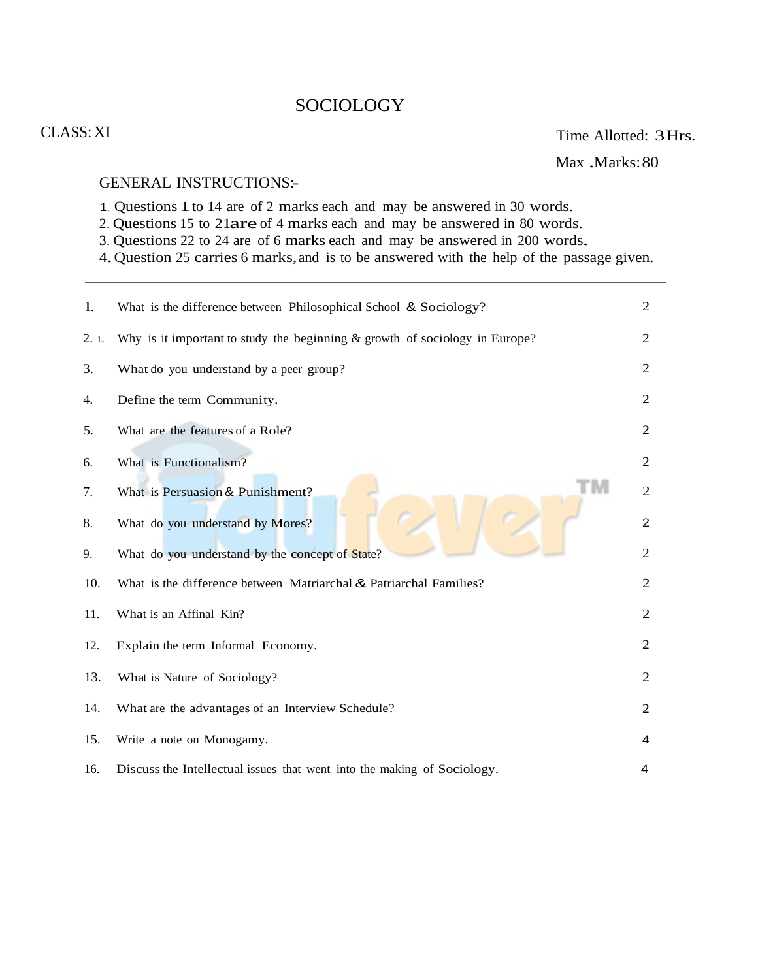# **SOCIOLOGY**

## CLASS:XI

Max .Marks: 80

#### GENERAL INSTRUCTIONS:-

- 1. Questions 1to 14 are of 2 marks each and may be answered in 30 words.
- 2. Questions 15 to 21are of 4 marks each and may be answered in 80 words.
- 3. Questions 22 to 24 are of 6 marks each and may be answered in 200 words.
- 4.Question 25 carries 6 marks, and is to be answered with the help of the passage given.

| 1.  | What is the difference between Philosophical School & Sociology?              | $\overline{2}$ |
|-----|-------------------------------------------------------------------------------|----------------|
| 2.1 | Why is it important to study the beginning $&$ growth of sociology in Europe? | $\overline{2}$ |
| 3.  | What do you understand by a peer group?                                       | $\overline{2}$ |
| 4.  | Define the term Community.                                                    | $\overline{2}$ |
| 5.  | What are the features of a Role?                                              | $\overline{2}$ |
| 6.  | What is Functionalism?                                                        | $\overline{2}$ |
| 7.  | What is Persuasion & Punishment?                                              | $\overline{2}$ |
| 8.  | What do you understand by Mores?                                              | $\overline{2}$ |
| 9.  | What do you understand by the concept of State?                               | $\overline{2}$ |
| 10. | What is the difference between Matriarchal & Patriarchal Families?            | $\overline{2}$ |
| 11. | What is an Affinal Kin?                                                       | $\overline{2}$ |
| 12. | Explain the term Informal Economy.                                            | $\overline{2}$ |
| 13. | What is Nature of Sociology?                                                  | $\overline{2}$ |
| 14. | What are the advantages of an Interview Schedule?                             | $\overline{2}$ |
| 15. | Write a note on Monogamy.                                                     | 4              |
| 16. | Discuss the Intellectual issues that went into the making of Sociology.       | 4              |